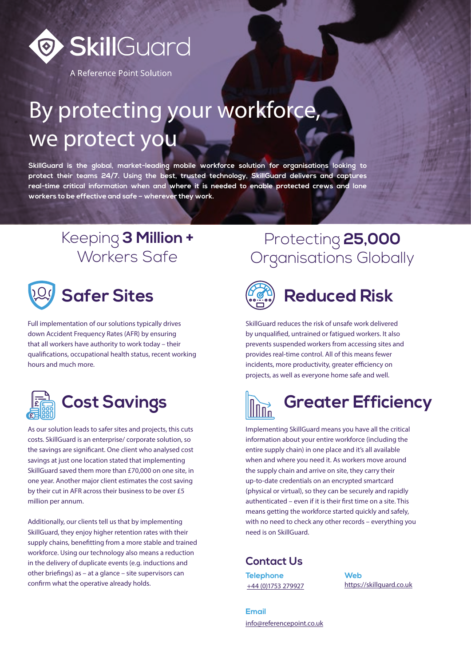

A Reference Point Solution

# By protecting your workforce, we protect you

**SkillGuard is the global, market-leading mobile workforce solution for organisations looking to protect their teams 24/7. Using the best, trusted technology, SkillGuard delivers and captures real-time critical information when and where it is needed to enable protected crews and lone workers to be effective and safe – wherever they work.**

#### Keeping **3 Million +**  Workers Safe



Full implementation of our solutions typically drives down Accident Frequency Rates (AFR) by ensuring that all workers have authority to work today – their qualifications, occupational health status, recent working hours and much more.



As our solution leads to safer sites and projects, this cuts costs. SkillGuard is an enterprise/ corporate solution, so the savings are significant. One client who analysed cost savings at just one location stated that implementing SkillGuard saved them more than £70,000 on one site, in one year. Another major client estimates the cost saving by their cut in AFR across their business to be over £5 million per annum.

Additionally, our clients tell us that by implementing SkillGuard, they enjoy higher retention rates with their supply chains, benefitting from a more stable and trained workforce. Using our technology also means a reduction in the delivery of duplicate events (e.g. inductions and other briefings) as – at a glance – site supervisors can confirm what the operative already holds.

#### Protecting **25,000**  Organisations Globally



## **Safer Sites (APA) Reduced Risk**

SkillGuard reduces the risk of unsafe work delivered by unqualified, untrained or fatigued workers. It also prevents suspended workers from accessing sites and provides real-time control. All of this means fewer incidents, more productivity, greater efficiency on projects, as well as everyone home safe and well.



Implementing SkillGuard means you have all the critical information about your entire workforce (including the entire supply chain) in one place and it's all available when and where you need it. As workers move around the supply chain and arrive on site, they carry their up-to-date credentials on an encrypted smartcard (physical or virtual), so they can be securely and rapidly authenticated – even if it is their first time on a site. This means getting the workforce started quickly and safely, with no need to check any other records – everything you need is on SkillGuard.

#### **Contact Us**

**Telephone** +44 (0)1753 279927

**Web** <https://skillguard.co.uk>

**Email** [info@referencepoint.co.uk](mailto:info%40referencepoint.co.uk?subject=Contact%20us%20)